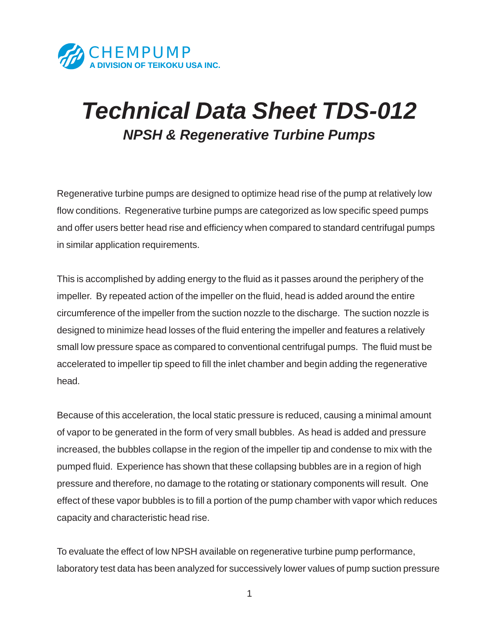

## *Technical Data Sheet TDS-012 NPSH & Regenerative Turbine Pumps*

Regenerative turbine pumps are designed to optimize head rise of the pump at relatively low flow conditions. Regenerative turbine pumps are categorized as low specific speed pumps and offer users better head rise and efficiency when compared to standard centrifugal pumps in similar application requirements.

This is accomplished by adding energy to the fluid as it passes around the periphery of the impeller. By repeated action of the impeller on the fluid, head is added around the entire circumference of the impeller from the suction nozzle to the discharge. The suction nozzle is designed to minimize head losses of the fluid entering the impeller and features a relatively small low pressure space as compared to conventional centrifugal pumps. The fluid must be accelerated to impeller tip speed to fill the inlet chamber and begin adding the regenerative head.

Because of this acceleration, the local static pressure is reduced, causing a minimal amount of vapor to be generated in the form of very small bubbles. As head is added and pressure increased, the bubbles collapse in the region of the impeller tip and condense to mix with the pumped fluid. Experience has shown that these collapsing bubbles are in a region of high pressure and therefore, no damage to the rotating or stationary components will result. One effect of these vapor bubbles is to fill a portion of the pump chamber with vapor which reduces capacity and characteristic head rise.

To evaluate the effect of low NPSH available on regenerative turbine pump performance, laboratory test data has been analyzed for successively lower values of pump suction pressure

1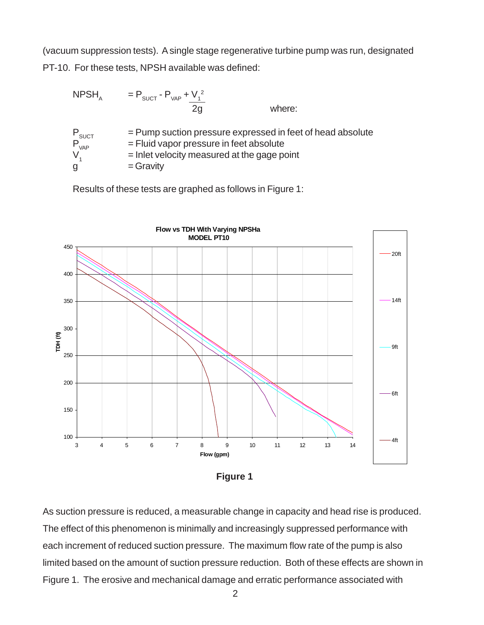(vacuum suppression tests). A single stage regenerative turbine pump was run, designated PT-10. For these tests, NPSH available was defined:

NPSH<sub>A</sub> = P<sub>SUCT</sub> - P<sub>VAP</sub> + V<sub>1</sub><sup>2</sup>  
\n
$$
\begin{array}{rcl}\nP_{SUCT} &= Pump \text{ such pressure expressed in feet of head absolute} \\
= Fluid \text{ vapor pressure in feet absolute} \\
V_1 &= \text{Inlet velocity measured at the gage point} \\
g &= \text{Gravity}\n\end{array}
$$

Results of these tests are graphed as follows in Figure 1:



**Figure 1**

As suction pressure is reduced, a measurable change in capacity and head rise is produced. The effect of this phenomenon is minimally and increasingly suppressed performance with each increment of reduced suction pressure. The maximum flow rate of the pump is also limited based on the amount of suction pressure reduction. Both of these effects are shown in Figure 1. The erosive and mechanical damage and erratic performance associated with